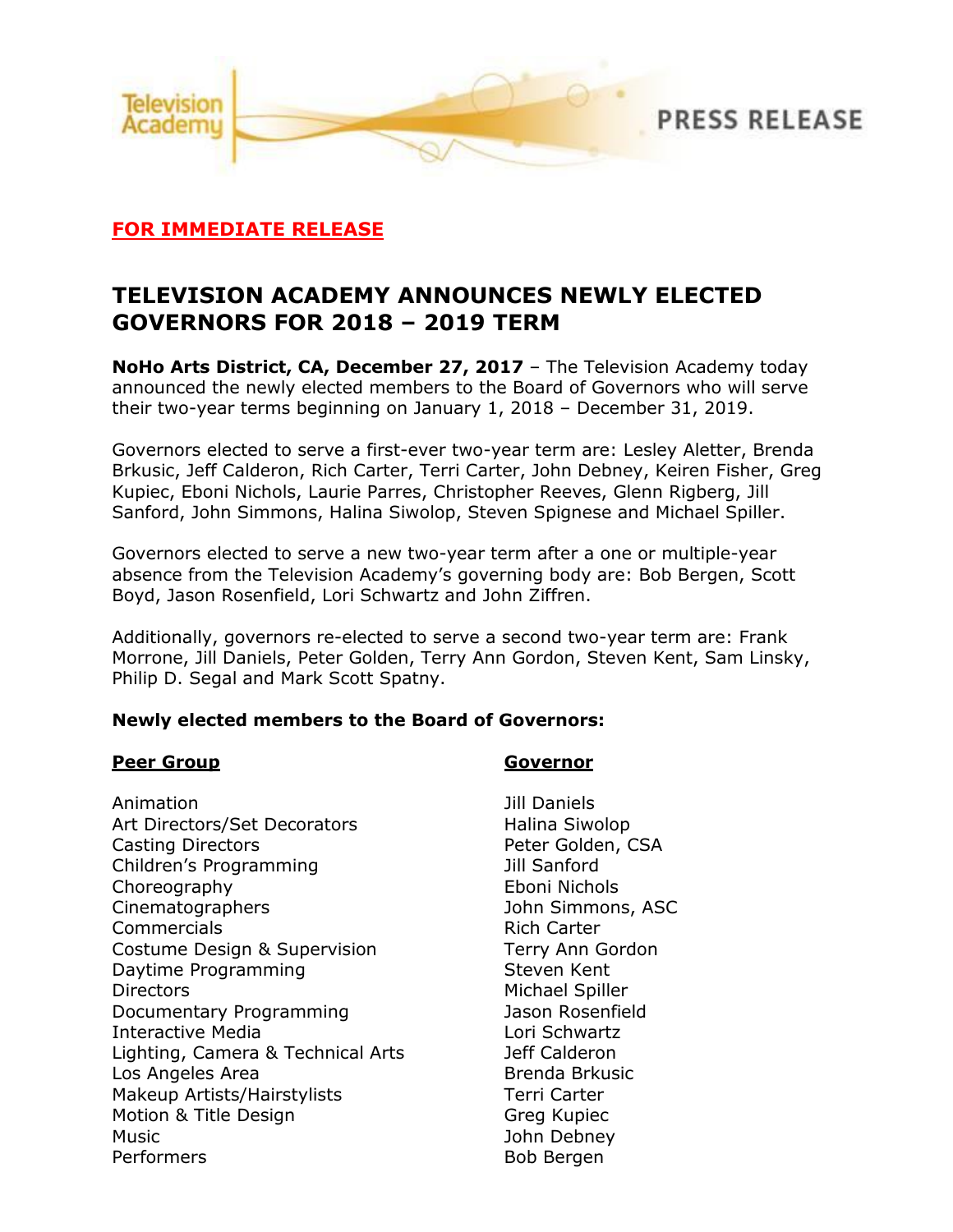

## **FOR IMMEDIATE RELEASE**

# **TELEVISION ACADEMY ANNOUNCES NEWLY ELECTED GOVERNORS FOR 2018 – 2019 TERM**

**NoHo Arts District, CA, December 27, 2017** – The Television Academy today announced the newly elected members to the Board of Governors who will serve their two-year terms beginning on January 1, 2018 – December 31, 2019.

Governors elected to serve a first-ever two-year term are: Lesley Aletter, Brenda Brkusic, Jeff Calderon, Rich Carter, Terri Carter, John Debney, Keiren Fisher, Greg Kupiec, Eboni Nichols, Laurie Parres, Christopher Reeves, Glenn Rigberg, Jill Sanford, John Simmons, Halina Siwolop, Steven Spignese and Michael Spiller.

Governors elected to serve a new two-year term after a one or multiple-year absence from the Television Academy's governing body are: Bob Bergen, Scott Boyd, Jason Rosenfield, Lori Schwartz and John Ziffren.

Additionally, governors re-elected to serve a second two-year term are: Frank Morrone, Jill Daniels, Peter Golden, Terry Ann Gordon, Steven Kent, Sam Linsky, Philip D. Segal and Mark Scott Spatny.

### **Newly elected members to the Board of Governors:**

### **Peer Group Governor**

Animation **Animation Jill Daniels** Art Directors/Set Decorators Halina Siwolop Casting Directors **Peter Golden, CSA** Children's Programming Jill Sanford Choreography Eboni Nichols Cinematographers John Simmons, ASC Commercials **Commercials Rich Carter** Costume Design & Supervision Terry Ann Gordon Daytime Programming **Steven Kent** Directors Michael Spiller Documentary Programming Jason Rosenfield Interactive Media **Lori Schwartz** Lighting, Camera & Technical Arts Jeff Calderon Los Angeles Area **Brenda Brkusic** Makeup Artists/Hairstylists Terri Carter Motion & Title Design Great Great Kupiec Music **Music Music Music Music Music Music Music Music Music Music Music Music** Performers Bob Bergen